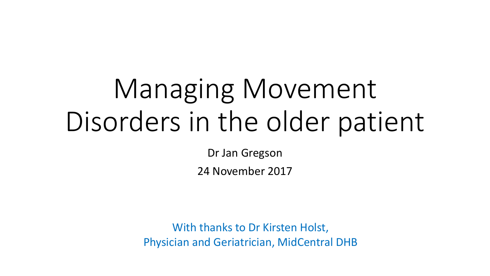# Managing Movement Disorders in the older patient

Dr Jan Gregson

24 November 2017

With thanks to Dr Kirsten Holst, Physician and Geriatrician, MidCentral DHB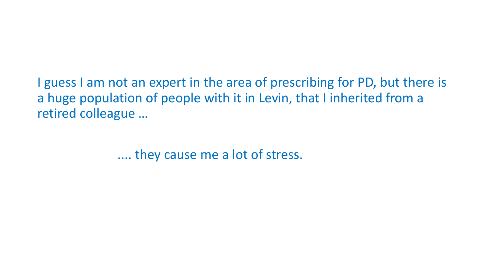I guess I am not an expert in the area of prescribing for PD, but there is a huge population of people with it in Levin, that I inherited from a retired colleague …

.... they cause me a lot of stress.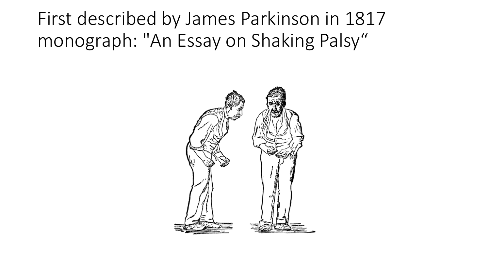First described by James Parkinson in 1817 monograph: "An Essay on Shaking Palsy"

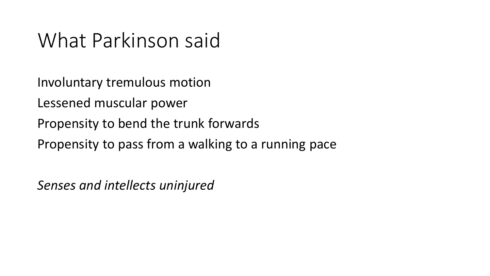# What Parkinson said

Involuntary tremulous motion

Lessened muscular power

Propensity to bend the trunk forwards

Propensity to pass from a walking to a running pace

*Senses and intellects uninjured*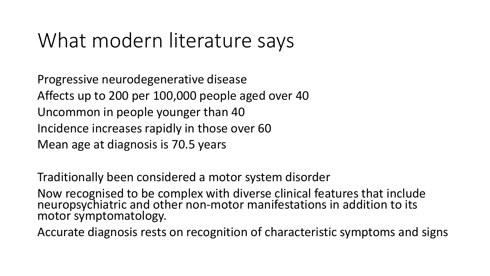# What modern literature says

Progressive neurodegenerative disease Affects up to 200 per 100,000 people aged over 40 Uncommon in people younger than 40 Incidence increases rapidly in those over 60 Mean age at diagnosis is 70.5 years

Traditionally been considered a motor system disorder

Now recognised to be complex with diverse clinical features that include neuropsychiatric and other non-motor manifestations in addition to its motor symptomatology.

Accurate diagnosis rests on recognition of characteristic symptoms and signs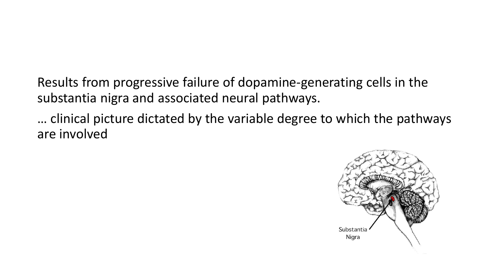Results from progressive failure of dopamine-generating cells in the substantia nigra and associated neural pathways.

… clinical picture dictated by the variable degree to which the pathways are involved

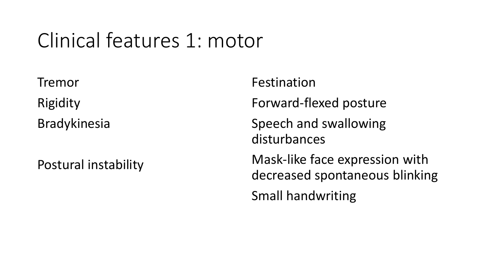# Clinical features 1: motor

Tremor Rigidity Bradykinesia

Postural instability

Festination

Forward-flexed posture

Speech and swallowing disturbances

Mask-like face expression with decreased spontaneous blinking

Small handwriting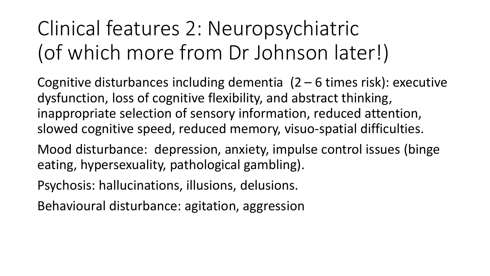# Clinical features 2: Neuropsychiatric (of which more from Dr Johnson later!)

Cognitive disturbances including dementia (2 – 6 times risk): executive dysfunction, loss of cognitive flexibility, and abstract thinking, inappropriate selection of sensory information, reduced attention, slowed cognitive speed, reduced memory, visuo-spatial difficulties.

Mood disturbance: depression, anxiety, impulse control issues (binge eating, hypersexuality, pathological gambling).

Psychosis: hallucinations, illusions, delusions.

Behavioural disturbance: agitation, aggression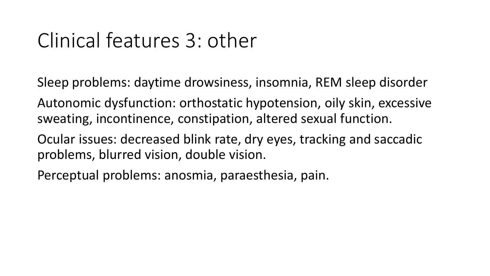# Clinical features 3: other

Sleep problems: daytime drowsiness, insomnia, REM sleep disorder

Autonomic dysfunction: orthostatic hypotension, oily skin, excessive sweating, incontinence, constipation, altered sexual function.

Ocular issues: decreased blink rate, dry eyes, tracking and saccadic problems, blurred vision, double vision.

Perceptual problems: anosmia, paraesthesia, pain.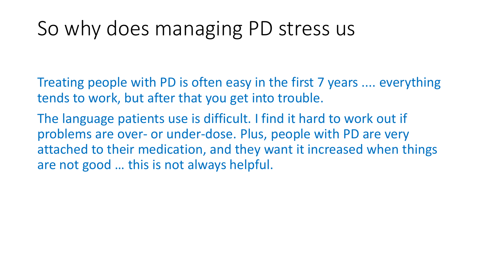# So why does managing PD stress us

Treating people with PD is often easy in the first 7 years .... everything tends to work, but after that you get into trouble.

The language patients use is difficult. I find it hard to work out if problems are over- or under-dose. Plus, people with PD are very attached to their medication, and they want it increased when things are not good … this is not always helpful.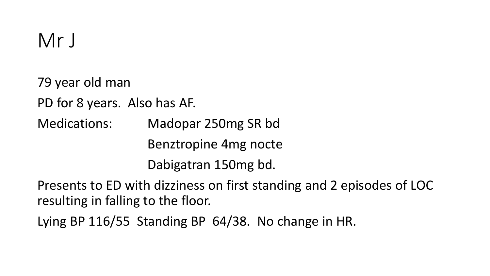79 year old man PD for 8 years. Also has AF. Medications: Madopar 250mg SR bd Benztropine 4mg nocte Dabigatran 150mg bd.

Presents to ED with dizziness on first standing and 2 episodes of LOC resulting in falling to the floor.

Lying BP 116/55 Standing BP 64/38. No change in HR.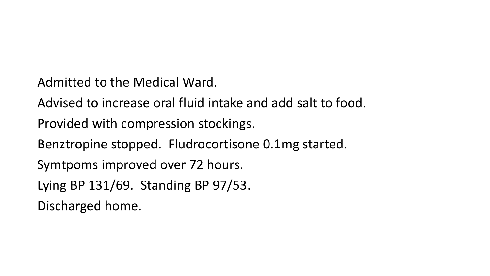Admitted to the Medical Ward.

Advised to increase oral fluid intake and add salt to food.

Provided with compression stockings.

Benztropine stopped. Fludrocortisone 0.1mg started.

Symtpoms improved over 72 hours.

Lying BP 131/69. Standing BP 97/53.

Discharged home.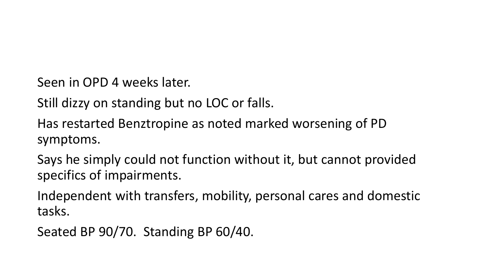Seen in OPD 4 weeks later.

Still dizzy on standing but no LOC or falls.

Has restarted Benztropine as noted marked worsening of PD symptoms.

Says he simply could not function without it, but cannot provided specifics of impairments.

Independent with transfers, mobility, personal cares and domestic tasks.

Seated BP 90/70. Standing BP 60/40.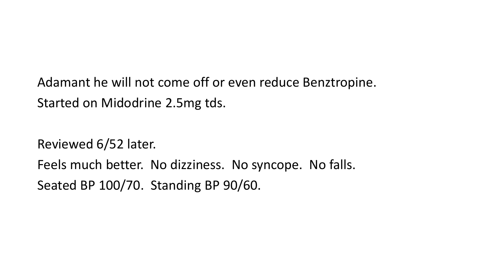Adamant he will not come off or even reduce Benztropine. Started on Midodrine 2.5mg tds.

Reviewed 6/52 later. Feels much better. No dizziness. No syncope. No falls. Seated BP 100/70. Standing BP 90/60.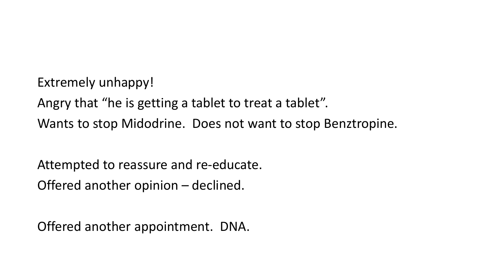Extremely unhappy!

Angry that "he is getting a tablet to treat a tablet". Wants to stop Midodrine. Does not want to stop Benztropine.

Attempted to reassure and re-educate. Offered another opinion – declined.

Offered another appointment. DNA.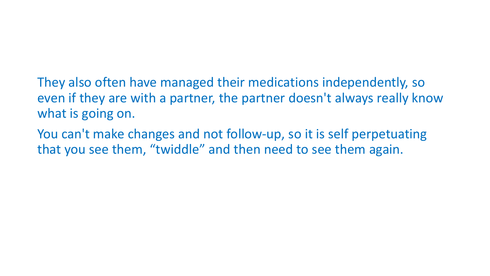- They also often have managed their medications independently, so even if they are with a partner, the partner doesn't always really know what is going on.
- You can't make changes and not follow-up, so it is self perpetuating that you see them, "twiddle" and then need to see them again.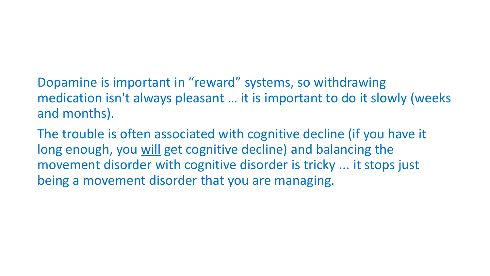Dopamine is important in "reward" systems, so withdrawing medication isn't always pleasant … it is important to do it slowly (weeks and months).

The trouble is often associated with cognitive decline (if you have it long enough, you will get cognitive decline) and balancing the movement disorder with cognitive disorder is tricky ... it stops just being a movement disorder that you are managing.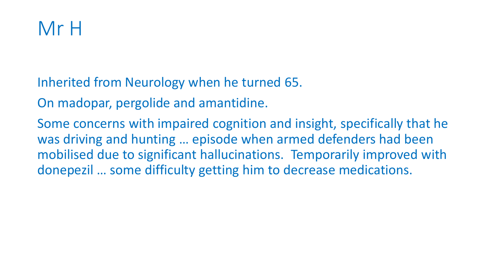

Inherited from Neurology when he turned 65.

On madopar, pergolide and amantidine.

Some concerns with impaired cognition and insight, specifically that he was driving and hunting … episode when armed defenders had been mobilised due to significant hallucinations. Temporarily improved with donepezil … some difficulty getting him to decrease medications.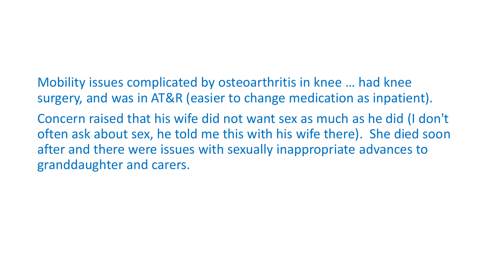Mobility issues complicated by osteoarthritis in knee … had knee surgery, and was in AT&R (easier to change medication as inpatient).

Concern raised that his wife did not want sex as much as he did (I don't often ask about sex, he told me this with his wife there). She died soon after and there were issues with sexually inappropriate advances to granddaughter and carers.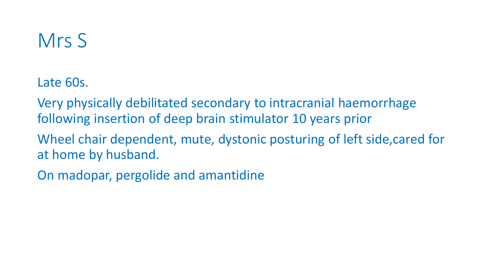# Mrs S

Late 60s.

Very physically debilitated secondary to intracranial haemorrhage following insertion of deep brain stimulator 10 years prior

Wheel chair dependent, mute, dystonic posturing of left side,cared for at home by husband.

On madopar, pergolide and amantidine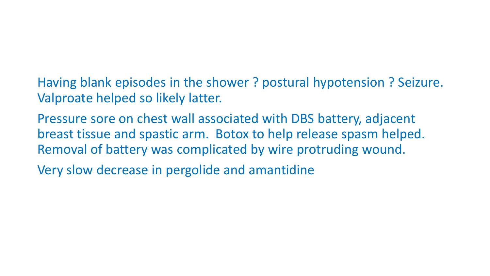Having blank episodes in the shower ? postural hypotension ? Seizure. Valproate helped so likely latter.

Pressure sore on chest wall associated with DBS battery, adjacent breast tissue and spastic arm. Botox to help release spasm helped. Removal of battery was complicated by wire protruding wound.

Very slow decrease in pergolide and amantidine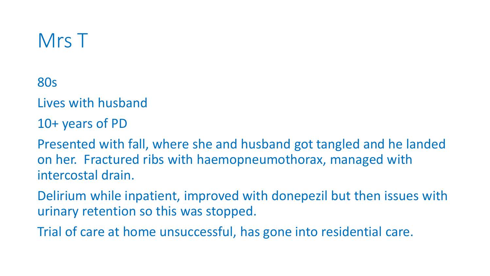### Mrs T

80s

Lives with husband

10+ years of PD

Presented with fall, where she and husband got tangled and he landed on her. Fractured ribs with haemopneumothorax, managed with intercostal drain.

Delirium while inpatient, improved with donepezil but then issues with urinary retention so this was stopped.

Trial of care at home unsuccessful, has gone into residential care.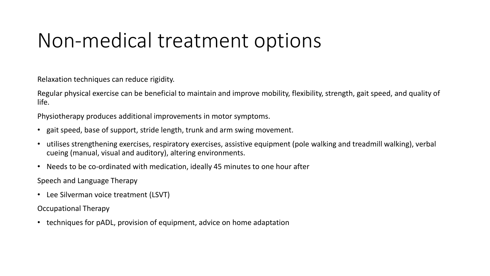# Non-medical treatment options

Relaxation techniques can reduce rigidity.

Regular physical exercise can be beneficial to maintain and improve mobility, flexibility, strength, gait speed, and quality of life.

Physiotherapy produces additional improvements in motor symptoms.

- gait speed, base of support, stride length, trunk and arm swing movement.
- utilises strengthening exercises, respiratory exercises, assistive equipment (pole walking and treadmill walking), verbal cueing (manual, visual and auditory), altering environments.
- Needs to be co-ordinated with medication, ideally 45 minutes to one hour after

Speech and Language Therapy

• Lee Silverman voice treatment (LSVT)

Occupational Therapy

• techniques for pADL, provision of equipment, advice on home adaptation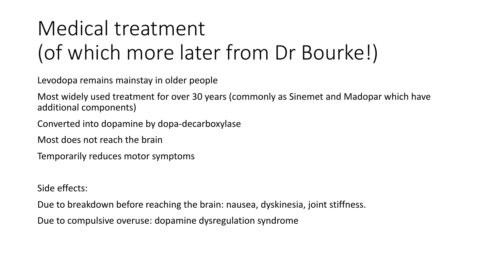# Medical treatment (of which more later from Dr Bourke!)

Levodopa remains mainstay in older people

Most widely used treatment for over 30 years (commonly as Sinemet and Madopar which have additional components)

Converted into dopamine by dopa-decarboxylase

Most does not reach the brain

Temporarily reduces motor symptoms

Side effects:

Due to breakdown before reaching the brain: nausea, dyskinesia, joint stiffness.

Due to compulsive overuse: dopamine dysregulation syndrome